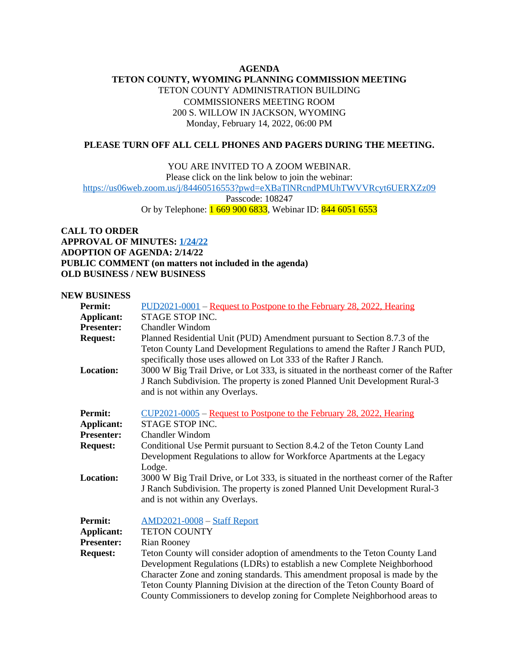## **AGENDA TETON COUNTY, WYOMING PLANNING COMMISSION MEETING** TETON COUNTY ADMINISTRATION BUILDING COMMISSIONERS MEETING ROOM 200 S. WILLOW IN JACKSON, WYOMING Monday, February 14, 2022, 06:00 PM

## **PLEASE TURN OFF ALL CELL PHONES AND PAGERS DURING THE MEETING.**

YOU ARE INVITED TO A ZOOM WEBINAR.

Please click on the link below to join the webinar:

<https://us06web.zoom.us/j/84460516553?pwd=eXBaTlNRcndPMUhTWVVRcyt6UERXZz09>

Passcode: 108247

Or by Telephone: 1 669 900 6833, Webinar ID: 844 6051 6553

**CALL TO ORDER APPROVAL OF MINUTES: [1/24/22](https://www.tetoncountywy.gov/DocumentCenter/View/21184/12422-PC-Minute-Sheet) ADOPTION OF AGENDA: 2/14/22 PUBLIC COMMENT (on matters not included in the agenda) OLD BUSINESS / NEW BUSINESS**

## **NEW BUSINESS**

| <b>Permit:</b>    | PUD2021-0001 – Request to Postpone to the February 28, 2022, Hearing                                                                                                                                                         |
|-------------------|------------------------------------------------------------------------------------------------------------------------------------------------------------------------------------------------------------------------------|
| Applicant:        | STAGE STOP INC.                                                                                                                                                                                                              |
| <b>Presenter:</b> | <b>Chandler Windom</b>                                                                                                                                                                                                       |
| <b>Request:</b>   | Planned Residential Unit (PUD) Amendment pursuant to Section 8.7.3 of the<br>Teton County Land Development Regulations to amend the Rafter J Ranch PUD,<br>specifically those uses allowed on Lot 333 of the Rafter J Ranch. |
| <b>Location:</b>  | 3000 W Big Trail Drive, or Lot 333, is situated in the northeast corner of the Rafter<br>J Ranch Subdivision. The property is zoned Planned Unit Development Rural-3<br>and is not within any Overlays.                      |
| <b>Permit:</b>    | <u> CUP2021-0005</u> – Request to Postpone to the February 28, 2022, Hearing                                                                                                                                                 |
| <b>Applicant:</b> | STAGE STOP INC.                                                                                                                                                                                                              |
| <b>Presenter:</b> | Chandler Windom                                                                                                                                                                                                              |
| <b>Request:</b>   | Conditional Use Permit pursuant to Section 8.4.2 of the Teton County Land                                                                                                                                                    |
|                   | Development Regulations to allow for Workforce Apartments at the Legacy                                                                                                                                                      |
|                   | Lodge.                                                                                                                                                                                                                       |
| <b>Location:</b>  | 3000 W Big Trail Drive, or Lot 333, is situated in the northeast corner of the Rafter<br>J Ranch Subdivision. The property is zoned Planned Unit Development Rural-3<br>and is not within any Overlays.                      |
| <b>Permit:</b>    | <b>AMD2021-0008 - Staff Report</b>                                                                                                                                                                                           |
| Applicant:        | <b>TETON COUNTY</b>                                                                                                                                                                                                          |
| <b>Presenter:</b> | <b>Rian Rooney</b>                                                                                                                                                                                                           |
| <b>Request:</b>   | Teton County will consider adoption of amendments to the Teton County Land                                                                                                                                                   |
|                   | Development Regulations (LDRs) to establish a new Complete Neighborhood                                                                                                                                                      |
|                   | Character Zone and zoning standards. This amendment proposal is made by the                                                                                                                                                  |
|                   | Teton County Planning Division at the direction of the Teton County Board of                                                                                                                                                 |
|                   | County Commissioners to develop zoning for Complete Neighborhood areas to                                                                                                                                                    |